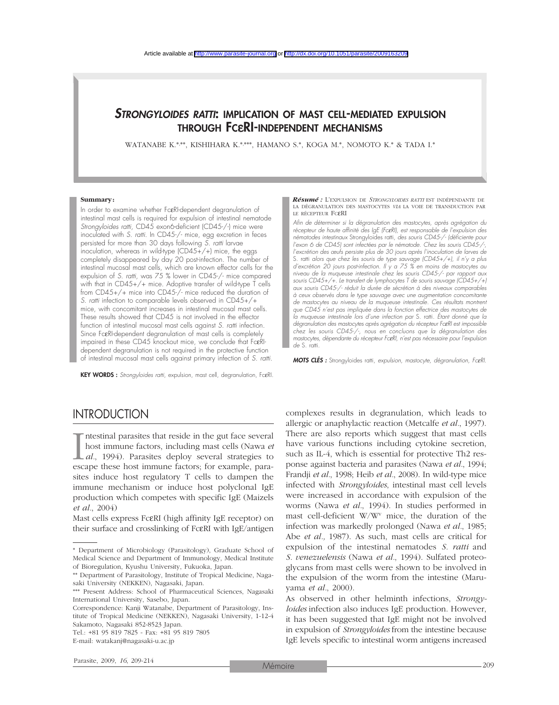## *STRONGYLOIDES RATTI*: IMPLICATION OF MAST CELL-MEDIATED EXPULSION THROUGH FCεRI-INDEPENDENT MECHANISMS

WATANABE K.\*,\*\*, KISHIHARA K.\*,\*\*\*, HAMANO S.\*, KOGA M.\*, NOMOTO K.\* & TADA I.\*

#### **Summary:**

In order to examine whether FcεRI-dependent degranulation of intestinal mast cells is required for expulsion of intestinal nematode *Strongyloides ratti,* CD45 exon6-deficient (CD45-/-) mice were inoculated with *S. ratti*. In CD45-/- mice, egg excretion in feces persisted for more than 30 days following *S. ratti* larvae inoculation, whereas in wild-type  $(CD45+/-)$  mice, the eggs completely disappeared by day 20 post-infection. The number of intestinal mucosal mast cells, which are known effector cells for the expulsion of *S. ratti,* was 75 % lower in CD45-/- mice compared with that in CD45+/+ mice. Adoptive transfer of wild-type T cells from CD45+/+ mice into CD45-/- mice reduced the duration of *S. ratti* infection to comparable levels observed in CD45+/+ mice, with concomitant increases in intestinal mucosal mast cells. These results showed that CD45 is not involved in the effector function of intestinal mucosal mast cells against *S. ratti* infection. Since FceRI-dependent degranulation of mast cells is completely impaired in these CD45 knockout mice, we conclude that FcεRIdependent degranulation is not required in the protective function of intestinal mucosal mast cells against primary infection of *S. ratti*.

KEY WORDS : *Strongyloides ratti*, expulsion, mast cell, degranulation, FcεRI.

#### *Résumé :* L'EXPULSION DE *STRONGYLOIDES RATTI* EST INDÉPENDANTE DE LA DÉGRANULATION DES MASTOCYTES *VIA* LA VOIE DE TRANSDUCTION PAR LE RÉCEPTEUR FCεRI

*Afin de déterminer si la dégranulation des mastocytes, après agrégation du récepteur de haute affinité des IgE (Fc*ε*RI), est responsable de l'expulsion des nématodes intestinaux* Strongyloides ratti*, des souris CD45-/- (déficiente pour l'exon 6 de CD45) sont infectées par le nématode. Chez les souris CD45-/-, l'excrétion des œufs persiste plus de 30 jours après l'inoculation de larves de* S. ratti *alors que chez les souris de type sauvage (CD45+/+), il n'y a plus d'excrétion 20 jours post-infection. Il y a 75 % en moins de mastocytes au niveau de la muqueuse intestinale chez les souris CD45-/- par rapport aux souris CD45+/+. Le transfert de lymphocytes T de souris sauvage (CD45+/+) aux souris CD45-/- réduit la durée de sécrétion à des niveaux comparables à ceux observés dans le type sauvage avec une augmentation concomitante de mastocytes au niveau de la muqueuse intestinale. Ces résultats montrent que CD45 n'est pas impliquée dans la fonction effectrice des mastocytes de la muqueuse intestinale lors d'une infection par* S. ratti*. Étant donné que la dégranulation des mastocytes après agrégation du récepteur Fc*ε*RI est impossible chez les souris CD45-/-, nous en concluons que la dégranulation des mastocytes, dépendante du récepteur Fc*ε*RI, n'est pas nécessaire pour l'expulsion de* S. ratti.

*MOTS CLÉS :* Strongyloides ratti*, expulsion, mastocyte, dégranulation, Fc*ε*RI.*

# INTRODUCTION

I<br>esc: ntestinal parasites that reside in the gut face several host immune factors, including mast cells (Nawa *et al.*, 1994). Parasites deploy several strategies to escape these host immune factors; for example, parasites induce host regulatory T cells to dampen the immune mechanism or induce host polyclonal IgE production which competes with specific IgE (Maizels *et al.*, 2004)

Mast cells express FcεRI (high affinity IgE receptor) on their surface and crosslinking of FcεRI with IgE/antigen

Tel.: +81 95 819 7825 - Fax: +81 95 819 7805 E-mail: watakanj@nagasaki-u.ac.jp

complexes results in degranulation, which leads to allergic or anaphylactic reaction (Metcalfe *et al.*, 1997). There are also reports which suggest that mast cells have various functions including cytokine secretion, such as IL-4, which is essential for protective Th2 response against bacteria and parasites (Nawa *et al.*, 1994; Frandji *et al.*, 1998; Heib *et al.*, 2008). In wild-type mice infected with *Strongyloides*, intestinal mast cell levels were increased in accordance with expulsion of the worms (Nawa *et al.*, 1994). In studies performed in mast cell-deficient  $W/W^v$  mice, the duration of the infection was markedly prolonged (Nawa *et al.*, 1985; Abe *et al.,* 1987). As such, mast cells are critical for expulsion of the intestinal nematodes *S. ratti* and *S. venezuelensis* (Nawa *et al.*, 1994). Sulfated proteoglycans from mast cells were shown to be involved in the expulsion of the worm from the intestine (Maruyama *et al.*, 2000).

As observed in other helminth infections, *Strongyloides* infection also induces IgE production. However, it has been suggested that IgE might not be involved in expulsion of *Strongyloides* from the intestine because IgE levels specific to intestinal worm antigens increased

<sup>\*</sup> Department of Microbiology (Parasitology), Graduate School of Medical Science and Department of Immunology, Medical Institute of Bioregulation, Kyushu University, Fukuoka, Japan.

<sup>\*\*</sup> Department of Parasitology, Institute of Tropical Medicine, Nagasaki University (NEKKEN), Nagasaki, Japan.

<sup>\*\*\*</sup> Present Address: School of Pharmaceutical Sciences, Nagasaki International University, Sasebo, Japan.

Correspondence: Kanji Watanabe, Department of Parasitology, Institute of Tropical Medicine (NEKKEN), Nagasaki University, 1-12-4 Sakamoto, Nagasaki 852-8523 Japan.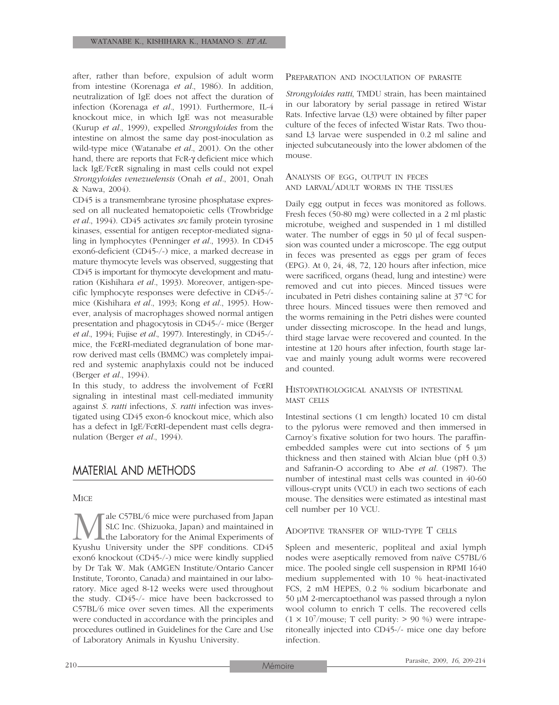after, rather than before, expulsion of adult worm from intestine (Korenaga *et al.*, 1986). In addition, neutralization of IgE does not affect the duration of infection (Korenaga *et al.*, 1991). Furthermore, IL-4 knockout mice, in which IgE was not measurable (Kurup *et al.*, 1999), expelled *Strongyloides* from the intestine on almost the same day post-inoculation as wild-type mice (Watanabe *et al.*, 2001). On the other hand, there are reports that FcR-γ deficient mice which lack IgE/FcεR signaling in mast cells could not expel *Strongyloides venezuelensis* (Onah *et al.*, 2001, Onah & Nawa, 2004).

CD45 is a transmembrane tyrosine phosphatase expressed on all nucleated hematopoietic cells (Trowbridge *et al.*, 1994). CD45 activates *src* family protein tyrosine kinases, essential for antigen receptor-mediated signaling in lymphocytes (Penninger *et al.*, 1993). In CD45 exon6-deficient (CD45-/-) mice, a marked decrease in mature thymocyte levels was observed, suggesting that CD45 is important for thymocyte development and maturation (Kishihara *et al.*, 1993). Moreover, antigen-specific lymphocyte responses were defective in CD45-/ mice (Kishihara *et al.*, 1993; Kong *et al.*, 1995). However, analysis of macrophages showed normal antigen presentation and phagocytosis in CD45-/- mice (Berger *et al.*, 1994; Fujise *et al.*, 1997). Interestingly, in CD45-/ mice, the FcεRI-mediated degranulation of bone marrow derived mast cells (BMMC) was completely impaired and systemic anaphylaxis could not be induced (Berger *et al.*, 1994).

In this study, to address the involvement of FcεRI signaling in intestinal mast cell-mediated immunity against *S. ratti* infections, *S. ratti* infection was investigated using CD45 exon-6 knockout mice, which also has a defect in IgE/FcεRI-dependent mast cells degranulation (Berger *et al.*, 1994).

# MATERIAL AND METHODS

### **MICE**

**Male C57BL/6 mice were purchased from Japan SLC** Inc. (Shizuoka, Japan) and maintained in Kyushu University under the SPF conditions. CD45 SLC Inc. (Shizuoka, Japan) and maintained in the Laboratory for the Animal Experiments of exon6 knockout (CD45-/-) mice were kindly supplied by Dr Tak W. Mak (AMGEN Institute/Ontario Cancer Institute, Toronto, Canada) and maintained in our laboratory. Mice aged 8-12 weeks were used throughout the study. CD45-/- mice have been backcrossed to C57BL/6 mice over seven times. All the experiments were conducted in accordance with the principles and procedures outlined in Guidelines for the Care and Use of Laboratory Animals in Kyushu University.

#### PREPARATION AND INOCULATION OF PARASITE

*Strongyloides ratti*, TMDU strain, has been maintained in our laboratory by serial passage in retired Wistar Rats. Infective larvae (L3) were obtained by filter paper culture of the feces of infected Wistar Rats. Two thousand L3 larvae were suspended in 0.2 ml saline and injected subcutaneously into the lower abdomen of the mouse.

ANALYSIS OF EGG, OUTPUT IN FECES AND LARVAL/ADULT WORMS IN THE TISSUES

Daily egg output in feces was monitored as follows. Fresh feces (50-80 mg) were collected in a 2 ml plastic microtube, weighed and suspended in 1 ml distilled water. The number of eggs in 50 µl of fecal suspension was counted under a microscope. The egg output in feces was presented as eggs per gram of feces (EPG). At 0, 24, 48, 72, 120 hours after infection, mice were sacrificed, organs (head, lung and intestine) were removed and cut into pieces. Minced tissues were incubated in Petri dishes containing saline at 37 °C for three hours. Minced tissues were then removed and the worms remaining in the Petri dishes were counted under dissecting microscope. In the head and lungs, third stage larvae were recovered and counted. In the intestine at 120 hours after infection, fourth stage larvae and mainly young adult worms were recovered and counted.

### HISTOPATHOLOGICAL ANALYSIS OF INTESTINAL MAST CELLS

Intestinal sections (1 cm length) located 10 cm distal to the pylorus were removed and then immersed in Carnoy's fixative solution for two hours. The paraffinembedded samples were cut into sections of 5 µm thickness and then stained with Alcian blue (pH 0.3) and Safranin-O according to Abe *et al.* (1987). The number of intestinal mast cells was counted in 40-60 villous-crypt units (VCU) in each two sections of each mouse. The densities were estimated as intestinal mast cell number per 10 VCU.

#### ADOPTIVE TRANSFER OF WILD-TYPE T CELLS

Spleen and mesenteric, popliteal and axial lymph nodes were aseptically removed from naïve C57BL/6 mice. The pooled single cell suspension in RPMI 1640 medium supplemented with 10 % heat-inactivated FCS, 2 mM HEPES, 0.2 % sodium bicarbonate and 50 µM 2-mercaptoethanol was passed through a nylon wool column to enrich T cells. The recovered cells  $(1 \times 10^7$ /mouse; T cell purity: > 90 %) were intraperitoneally injected into CD45-/- mice one day before infection.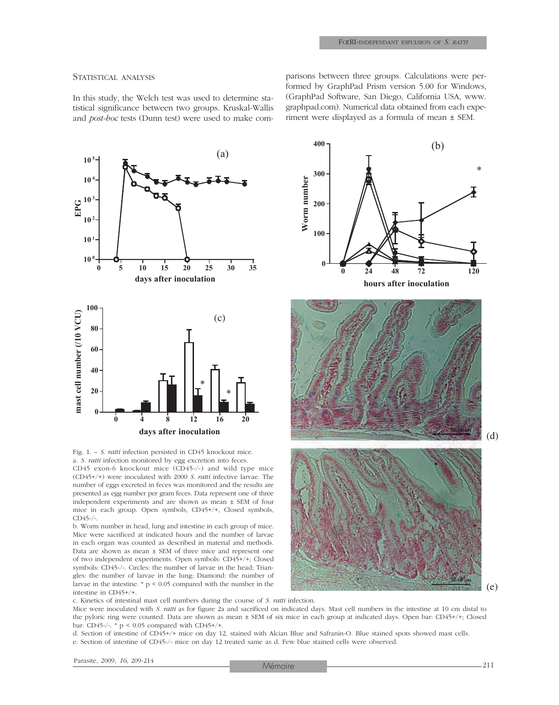#### STATISTICAL ANALYSIS

In this study, the Welch test was used to determine statistical significance between two groups. Kruskal-Wallis and *post-hoc* tests (Dunn test) were used to make comparisons between three groups. Calculations were performed by GraphPad Prism version 5.00 for Windows, (GraphPad Software, San Diego, California USA, www. graphpad.com). Numerical data obtained from each experiment were displayed as a formula of mean ± SEM.



Fig. 1. – *S. ratti* infection persisted in CD45 knockout mice. a. *S. ratti* infection monitored by egg excretion into feces.

CD45 exon-6 knockout mice (CD45-/-) and wild type mice (CD45+/+) were inoculated with 2000 *S. ratti* infective larvae. The number of eggs excreted in feces was monitored and the results are presented as egg number per gram feces. Data represent one of three independent experiments and are shown as mean ± SEM of four mice in each group. Open symbols, CD45+/+, Closed symbols,  $CD45-/-$ .

b. Worm number in head, lung and intestine in each group of mice. Mice were sacrificed at indicated hours and the number of larvae in each organ was counted as described in material and methods. Data are shown as mean ± SEM of three mice and represent one of two independent experiments. Open symbols: CD45+/+; Closed symbols: CD45-/-. Circles: the number of larvae in the head; Triangles: the number of larvae in the lung; Diamond: the number of larvae in the intestine. \* p < 0.05 compared with the number in the intestine in CD45+/+.



c. Kinetics of intestinal mast cell numbers during the course of *S. ratti* infection.

Mice were inoculated with *S. ratti* as for figure 2a and sacrificed on indicated days. Mast cell numbers in the intestine at 10 cm distal to the pyloric ring were counted. Data are shown as mean ± SEM of six mice in each group at indicated days. Open bar: CD45+/+; Closed bar: CD45-/-.  $*$  p < 0.05 compared with CD45+/+.

d. Section of intestine of CD45+/+ mice on day 12, stained with Alcian Blue and Safranin-O. Blue stained spots showed mast cells. e. Section of intestine of CD45-/- mice on day 12 treated same as d. Few blue stained cells were observed.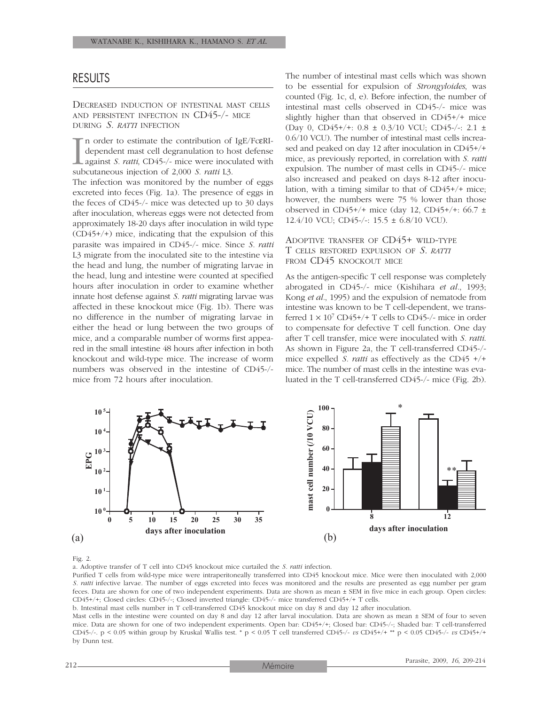### RESULTS

DECREASED INDUCTION OF INTESTINAL MAST CELLS AND PERSISTENT INFECTION IN CD45-/- MICE DURING *S. RATTI* INFECTION

 $\prod_{sub}$ n order to estimate the contribution of IgE/FcεRIdependent mast cell degranulation to host defense against *S. ratti*, CD45-/- mice were inoculated with subcutaneous injection of 2,000 *S. ratti* L3.

The infection was monitored by the number of eggs excreted into feces (Fig. 1a). The presence of eggs in the feces of CD45-/- mice was detected up to 30 days after inoculation, whereas eggs were not detected from approximately 18-20 days after inoculation in wild type (CD45+/+) mice, indicating that the expulsion of this parasite was impaired in CD45-/- mice. Since *S. ratti* L3 migrate from the inoculated site to the intestine via the head and lung, the number of migrating larvae in the head, lung and intestine were counted at specified hours after inoculation in order to examine whether innate host defense against *S. ratti* migrating larvae was affected in these knockout mice (Fig. 1b). There was no difference in the number of migrating larvae in either the head or lung between the two groups of mice, and a comparable number of worms first appeared in the small intestine 48 hours after infection in both knockout and wild-type mice. The increase of worm numbers was observed in the intestine of CD45-/ mice from 72 hours after inoculation.

The number of intestinal mast cells which was shown to be essential for expulsion of *Strongyloides*, was counted (Fig. 1c, d, e). Before infection, the number of intestinal mast cells observed in CD45-/- mice was slightly higher than that observed in CD45+/+ mice (Day 0, CD45+/+: 0.8 ± 0.3/10 VCU; CD45-/-: 2.1 ± 0.6/10 VCU). The number of intestinal mast cells increased and peaked on day 12 after inoculation in CD45+/+ mice, as previously reported, in correlation with *S. ratti* expulsion. The number of mast cells in CD45-/- mice also increased and peaked on days 8-12 after inoculation, with a timing similar to that of CD45+/+ mice; however, the numbers were 75 % lower than those observed in CD45+/+ mice (day 12, CD45+/+:  $66.7 \pm$ 12.4/10 VCU; CD45-/-: 15.5 ± 6.8/10 VCU).

### ADOPTIVE TRANSFER OF CD45+ WILD-TYPE T CELLS RESTORED EXPULSION OF *S. RATTI* FROM CD45 KNOCKOUT MICE

As the antigen-specific T cell response was completely abrogated in CD45-/- mice (Kishihara *et al.*, 1993; Kong *et al.*, 1995) and the expulsion of nematode from intestine was known to be T cell-dependent, we transferred  $1 \times 10^7$  CD45+/+ T cells to CD45-/- mice in order to compensate for defective T cell function. One day after T cell transfer, mice were inoculated with *S. ratti*. As shown in Figure 2a, the T cell-transferred CD45-/ mice expelled *S. ratti* as effectively as the CD45 +/+ mice. The number of mast cells in the intestine was evaluated in the T cell-transferred CD45-/- mice (Fig. 2b).



#### Fig. 2.

a. Adoptive transfer of T cell into CD45 knockout mice curtailed the *S. ratti* infection.

Purified T cells from wild-type mice were intraperitoneally transferred into CD45 knockout mice. Mice were then inoculated with 2,000 *S. ratti* infective larvae. The number of eggs excreted into feces was monitored and the results are presented as egg number per gram feces. Data are shown for one of two independent experiments. Data are shown as mean ± SEM in five mice in each group. Open circles: CD45+/+; Closed circles: CD45-/-; Closed inverted triangle: CD45-/- mice transferred CD45+/+ T cells.

b. Intestinal mast cells number in T cell-transferred CD45 knockout mice on day 8 and day 12 after inoculation.

Mast cells in the intestine were counted on day 8 and day 12 after larval inoculation. Data are shown as mean ± SEM of four to seven mice. Data are shown for one of two independent experiments. Open bar: CD45+/+; Closed bar: CD45-/-; Shaded bar: T cell-transferred CD45-/-. p < 0.05 within group by Kruskal Wallis test. \* p < 0.05 T cell transferred CD45-/- *vs* CD45+/+ \*\* p < 0.05 CD45-/- *vs* CD45+/+ by Dunn test.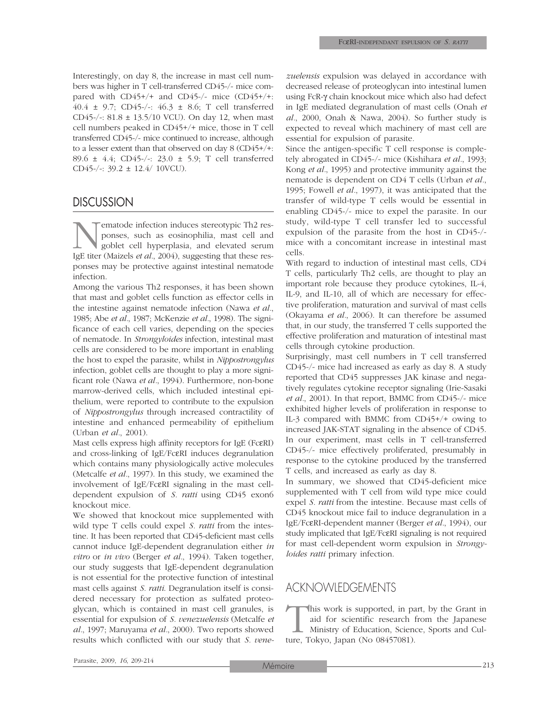Interestingly, on day 8, the increase in mast cell numbers was higher in T cell-transferred CD45-/- mice compared with CD45+/+ and CD45-/- mice (CD45+/+: 40.4 ± 9.7; CD45-/-: 46.3 ± 8.6; T cell transferred CD45-/-:  $81.8 \pm 13.5/10$  VCU). On day 12, when mast cell numbers peaked in CD45+/+ mice, those in T cell transferred CD45-/- mice continued to increase, although to a lesser extent than that observed on day 8 (CD45+/+: 89.6 ± 4.4; CD45-/-: 23.0 ± 5.9; T cell transferred CD45-/-: 39.2 ± 12.4/ 10VCU).

### **DISCUSSION**

**Nematode infection induces stereotypic Th2 responses, such as eosinophilia, mast cell and goblet cell hyperplasia, and elevated serum IgE titer (Maizels** *et al.***, 2004), suggesting that these res**ponses, such as eosinophilia, mast cell and goblet cell hyperplasia, and elevated serum IgE titer (Maizels *et al.*, 2004), suggesting that these responses may be protective against intestinal nematode infection.

Among the various Th2 responses, it has been shown that mast and goblet cells function as effector cells in the intestine against nematode infection (Nawa *et al.*, 1985; Abe *et al.*, 1987; McKenzie *et al.*, 1998). The significance of each cell varies, depending on the species of nematode. In *Strongyloides* infection, intestinal mast cells are considered to be more important in enabling the host to expel the parasite, whilst in *Nippostrongylus* infection, goblet cells are thought to play a more significant role (Nawa *et al.*, 1994). Furthermore, non-bone marrow-derived cells, which included intestinal epithelium, were reported to contribute to the expulsion of *Nippostrongylus* through increased contractility of intestine and enhanced permeability of epithelium (Urban *et al.*, 2001).

Mast cells express high affinity receptors for IgE (FcεRI) and cross-linking of IgE/FcεRI induces degranulation which contains many physiologically active molecules (Metcalfe *et al.*, 1997). In this study, we examined the involvement of IgE/FcεRI signaling in the mast celldependent expulsion of *S. ratti* using CD45 exon6 knockout mice.

We showed that knockout mice supplemented with wild type T cells could expel *S. ratti* from the intestine. It has been reported that CD45-deficient mast cells cannot induce IgE-dependent degranulation either *in vitro* or *in vivo* (Berger *et al.*, 1994). Taken together, our study suggests that IgE-dependent degranulation is not essential for the protective function of intestinal mast cells against *S. ratti*. Degranulation itself is considered necessary for protection as sulfated proteoglycan, which is contained in mast cell granules, is essential for expulsion of *S. venezuelensis* (Metcalfe *et al.*, 1997; Maruyama *et al.*, 2000). Two reports showed results which conflicted with our study that *S. vene-* *zuelensis* expulsion was delayed in accordance with decreased release of proteoglycan into intestinal lumen using FcR-γ chain knockout mice which also had defect in IgE mediated degranulation of mast cells (Onah *et al.*, 2000, Onah & Nawa, 2004). So further study is expected to reveal which machinery of mast cell are essential for expulsion of parasite.

Since the antigen-specific T cell response is completely abrogated in CD45-/- mice (Kishihara *et al.*, 1993; Kong *et al.*, 1995) and protective immunity against the nematode is dependent on CD4 T cells (Urban *et al.*, 1995; Fowell *et al.*, 1997), it was anticipated that the transfer of wild-type T cells would be essential in enabling CD45-/- mice to expel the parasite. In our study, wild-type T cell transfer led to successful expulsion of the parasite from the host in CD45-/ mice with a concomitant increase in intestinal mast cells.

With regard to induction of intestinal mast cells, CD4 T cells, particularly Th2 cells, are thought to play an important role because they produce cytokines, IL-4, IL-9, and IL-10, all of which are necessary for effective proliferation, maturation and survival of mast cells (Okayama *et al.*, 2006). It can therefore be assumed that, in our study, the transferred T cells supported the effective proliferation and maturation of intestinal mast cells through cytokine production.

Surprisingly, mast cell numbers in T cell transferred CD45-/- mice had increased as early as day 8. A study reported that CD45 suppresses JAK kinase and negatively regulates cytokine receptor signaling (Irie-Sasaki *et al.*, 2001). In that report, BMMC from CD45-/- mice exhibited higher levels of proliferation in response to IL-3 compared with BMMC from CD45+/+ owing to increased JAK-STAT signaling in the absence of CD45. In our experiment, mast cells in T cell-transferred CD45-/- mice effectively proliferated, presumably in response to the cytokine produced by the transferred T cells, and increased as early as day 8.

In summary, we showed that CD45-deficient mice supplemented with T cell from wild type mice could expel *S. ratti* from the intestine. Because mast cells of CD45 knockout mice fail to induce degranulation in a IgE/FcεRI-dependent manner (Berger *et al.*, 1994), our study implicated that IgE/FcεRI signaling is not required for mast cell-dependent worm expulsion in *Strongyloides ratti* primary infection.

# ACKNOWLEDGEMENTS

This work is supported, in part, by the Grant in aid for scientific research from the Japanese Ministry of Education, Science, Sports and Culture, Tokyo, Japan (No 08457081). aid for scientific research from the Japanese Ministry of Education, Science, Sports and Culture, Tokyo, Japan (No 08457081).